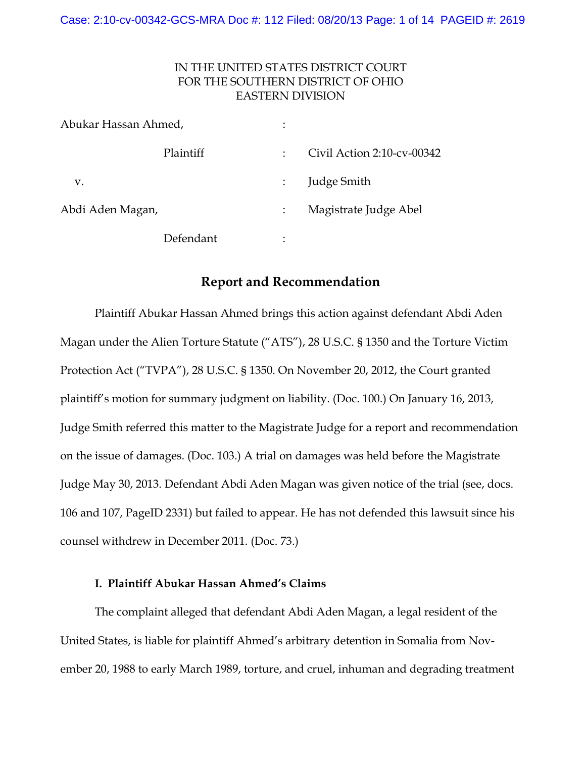# IN THE UNITED STATES DISTRICT COURT FOR THE SOUTHERN DISTRICT OF OHIO EASTERN DIVISION

| Abukar Hassan Ahmed, |           | $\bullet$            |                            |
|----------------------|-----------|----------------------|----------------------------|
|                      | Plaintiff | $\ddot{\phantom{a}}$ | Civil Action 2:10-cv-00342 |
| v.                   |           |                      | Judge Smith                |
| Abdi Aden Magan,     |           |                      | Magistrate Judge Abel      |
|                      | Defendant | ٠                    |                            |

### **Report and Recommendation**

Plaintiff Abukar Hassan Ahmed brings this action against defendant Abdi Aden Magan under the Alien Torture Statute ("ATS"), 28 U.S.C. § 1350 and the Torture Victim Protection Act ("TVPA"), 28 U.S.C. § 1350. On November 20, 2012, the Court granted plaintiff's motion for summary judgment on liability. (Doc. 100.) On January 16, 2013, Judge Smith referred this matter to the Magistrate Judge for a report and recommendation on the issue of damages. (Doc. 103.) A trial on damages was held before the Magistrate Judge May 30, 2013. Defendant Abdi Aden Magan was given notice of the trial (see, docs. 106 and 107, PageID 2331) but failed to appear. He has not defended this lawsuit since his counsel withdrew in December 2011. (Doc. 73.)

### **I. Plaintiff Abukar Hassan Ahmed's Claims**

The complaint alleged that defendant Abdi Aden Magan, a legal resident of the United States, is liable for plaintiff Ahmed's arbitrary detention in Somalia from November 20, 1988 to early March 1989, torture, and cruel, inhuman and degrading treatment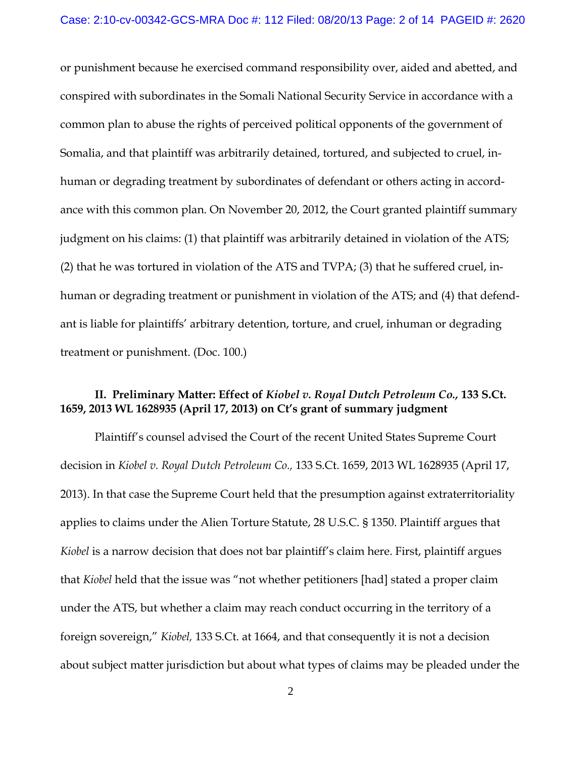or punishment because he exercised command responsibility over, aided and abetted, and conspired with subordinates in the Somali National Security Service in accordance with a common plan to abuse the rights of perceived political opponents of the government of Somalia, and that plaintiff was arbitrarily detained, tortured, and subjected to cruel, inhuman or degrading treatment by subordinates of defendant or others acting in accordance with this common plan. On November 20, 2012, the Court granted plaintiff summary judgment on his claims: (1) that plaintiff was arbitrarily detained in violation of the ATS; (2) that he was tortured in violation of the ATS and TVPA; (3) that he suffered cruel, inhuman or degrading treatment or punishment in violation of the ATS; and (4) that defendant is liable for plaintiffs' arbitrary detention, torture, and cruel, inhuman or degrading treatment or punishment. (Doc. 100.)

# **II. Preliminary Matter: Effect of** *Kiobel v. Royal Dutch Petroleum Co.,* **133 S.Ct. 1659, 2013 WL 1628935 (April 17, 2013) on Ct's grant of summary judgment**

Plaintiff's counsel advised the Court of the recent United States Supreme Court decision in *Kiobel v. Royal Dutch Petroleum Co.,* 133 S.Ct. 1659, 2013 WL 1628935 (April 17, 2013). In that case the Supreme Court held that the presumption against extraterritoriality applies to claims under the Alien Torture Statute, 28 U.S.C. § 1350. Plaintiff argues that *Kiobel* is a narrow decision that does not bar plaintiff's claim here. First, plaintiff argues that *Kiobel* held that the issue was "not whether petitioners [had] stated a proper claim under the ATS, but whether a claim may reach conduct occurring in the territory of a foreign sovereign," *Kiobel,* 133 S.Ct. at 1664, and that consequently it is not a decision about subject matter jurisdiction but about what types of claims may be pleaded under the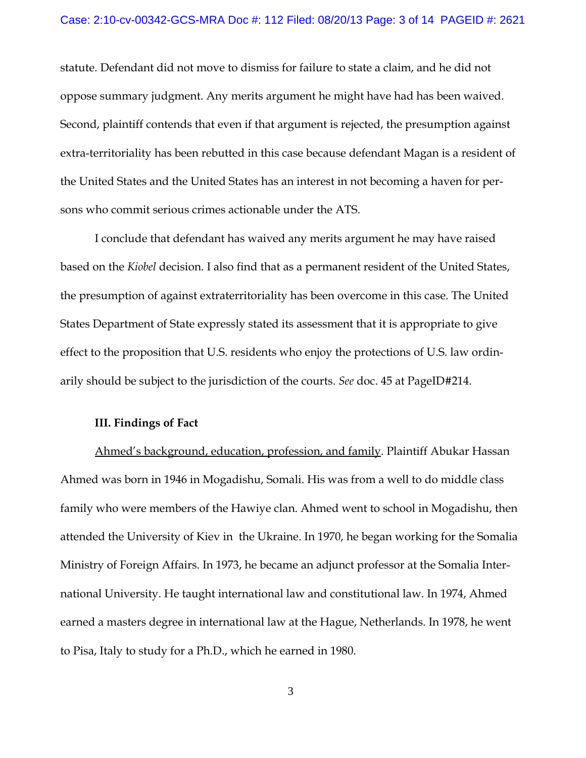statute. Defendant did not move to dismiss for failure to state a claim, and he did not oppose summary judgment. Any merits argument he might have had has been waived. Second, plaintiff contends that even if that argument is rejected, the presumption against extra-territoriality has been rebutted in this case because defendant Magan is a resident of the United States and the United States has an interest in not becoming a haven for persons who commit serious crimes actionable under the ATS.

I conclude that defendant has waived any merits argument he may have raised based on the *Kiobel* decision. I also find that as a permanent resident of the United States, the presumption of against extraterritoriality has been overcome in this case. The United States Department of State expressly stated its assessment that it is appropriate to give effect to the proposition that U.S. residents who enjoy the protections of U.S. law ordinarily should be subject to the jurisdiction of the courts. *See* doc. 45 at PageID#214.

#### **III. Findings of Fact**

Ahmed's background, education, profession, and family. Plaintiff Abukar Hassan Ahmed was born in 1946 in Mogadishu, Somali. His was from a well to do middle class family who were members of the Hawiye clan. Ahmed went to school in Mogadishu, then attended the University of Kiev in the Ukraine. In 1970, he began working for the Somalia Ministry of Foreign Affairs. In 1973, he became an adjunct professor at the Somalia International University. He taught international law and constitutional law. In 1974, Ahmed earned a masters degree in international law at the Hague, Netherlands. In 1978, he went to Pisa, Italy to study for a Ph.D., which he earned in 1980.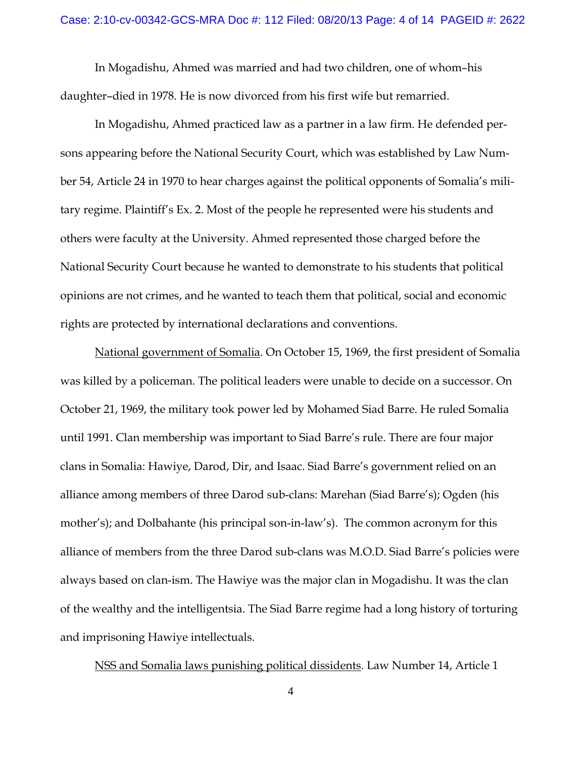In Mogadishu, Ahmed was married and had two children, one of whom–his daughter–died in 1978. He is now divorced from his first wife but remarried.

In Mogadishu, Ahmed practiced law as a partner in a law firm. He defended persons appearing before the National Security Court, which was established by Law Number 54, Article 24 in 1970 to hear charges against the political opponents of Somalia's military regime. Plaintiff's Ex. 2. Most of the people he represented were his students and others were faculty at the University. Ahmed represented those charged before the National Security Court because he wanted to demonstrate to his students that political opinions are not crimes, and he wanted to teach them that political, social and economic rights are protected by international declarations and conventions.

National government of Somalia. On October 15, 1969, the first president of Somalia was killed by a policeman. The political leaders were unable to decide on a successor. On October 21, 1969, the military took power led by Mohamed Siad Barre. He ruled Somalia until 1991. Clan membership was important to Siad Barre's rule. There are four major clans in Somalia: Hawiye, Darod, Dir, and Isaac. Siad Barre's government relied on an alliance among members of three Darod sub-clans: Marehan (Siad Barre's); Ogden (his mother's); and Dolbahante (his principal son-in-law's). The common acronym for this alliance of members from the three Darod sub-clans was M.O.D. Siad Barre's policies were always based on clan-ism. The Hawiye was the major clan in Mogadishu. It was the clan of the wealthy and the intelligentsia. The Siad Barre regime had a long history of torturing and imprisoning Hawiye intellectuals.

NSS and Somalia laws punishing political dissidents. Law Number 14, Article 1

4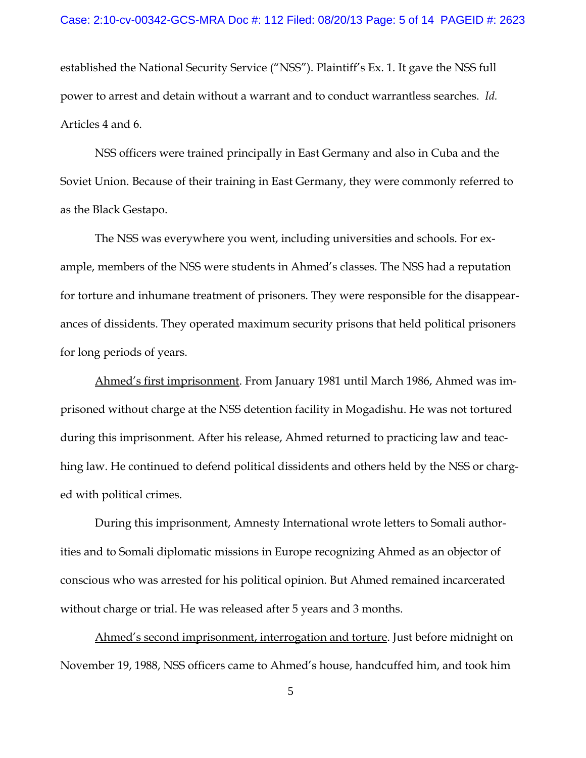established the National Security Service ("NSS"). Plaintiff's Ex. 1. It gave the NSS full power to arrest and detain without a warrant and to conduct warrantless searches. *Id.* Articles 4 and 6.

NSS officers were trained principally in East Germany and also in Cuba and the Soviet Union. Because of their training in East Germany, they were commonly referred to as the Black Gestapo.

The NSS was everywhere you went, including universities and schools. For example, members of the NSS were students in Ahmed's classes. The NSS had a reputation for torture and inhumane treatment of prisoners. They were responsible for the disappearances of dissidents. They operated maximum security prisons that held political prisoners for long periods of years.

Ahmed's first imprisonment. From January 1981 until March 1986, Ahmed was imprisoned without charge at the NSS detention facility in Mogadishu. He was not tortured during this imprisonment. After his release, Ahmed returned to practicing law and teaching law. He continued to defend political dissidents and others held by the NSS or charged with political crimes.

During this imprisonment, Amnesty International wrote letters to Somali authorities and to Somali diplomatic missions in Europe recognizing Ahmed as an objector of conscious who was arrested for his political opinion. But Ahmed remained incarcerated without charge or trial. He was released after 5 years and 3 months.

Ahmed's second imprisonment, interrogation and torture. Just before midnight on November 19, 1988, NSS officers came to Ahmed's house, handcuffed him, and took him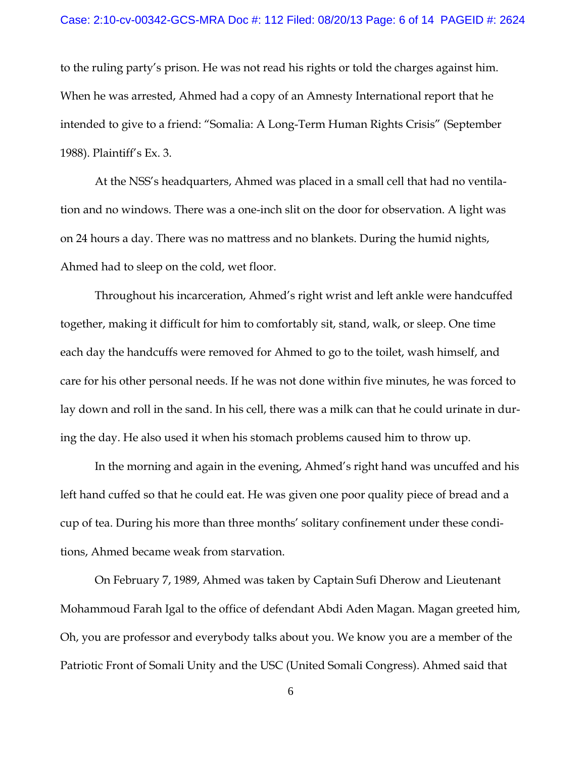to the ruling party's prison. He was not read his rights or told the charges against him. When he was arrested, Ahmed had a copy of an Amnesty International report that he intended to give to a friend: "Somalia: A Long-Term Human Rights Crisis" (September 1988). Plaintiff's Ex. 3.

At the NSS's headquarters, Ahmed was placed in a small cell that had no ventilation and no windows. There was a one-inch slit on the door for observation. A light was on 24 hours a day. There was no mattress and no blankets. During the humid nights, Ahmed had to sleep on the cold, wet floor.

Throughout his incarceration, Ahmed's right wrist and left ankle were handcuffed together, making it difficult for him to comfortably sit, stand, walk, or sleep. One time each day the handcuffs were removed for Ahmed to go to the toilet, wash himself, and care for his other personal needs. If he was not done within five minutes, he was forced to lay down and roll in the sand. In his cell, there was a milk can that he could urinate in during the day. He also used it when his stomach problems caused him to throw up.

In the morning and again in the evening, Ahmed's right hand was uncuffed and his left hand cuffed so that he could eat. He was given one poor quality piece of bread and a cup of tea. During his more than three months' solitary confinement under these conditions, Ahmed became weak from starvation.

On February 7, 1989, Ahmed was taken by Captain Sufi Dherow and Lieutenant Mohammoud Farah Igal to the office of defendant Abdi Aden Magan. Magan greeted him, Oh, you are professor and everybody talks about you. We know you are a member of the Patriotic Front of Somali Unity and the USC (United Somali Congress). Ahmed said that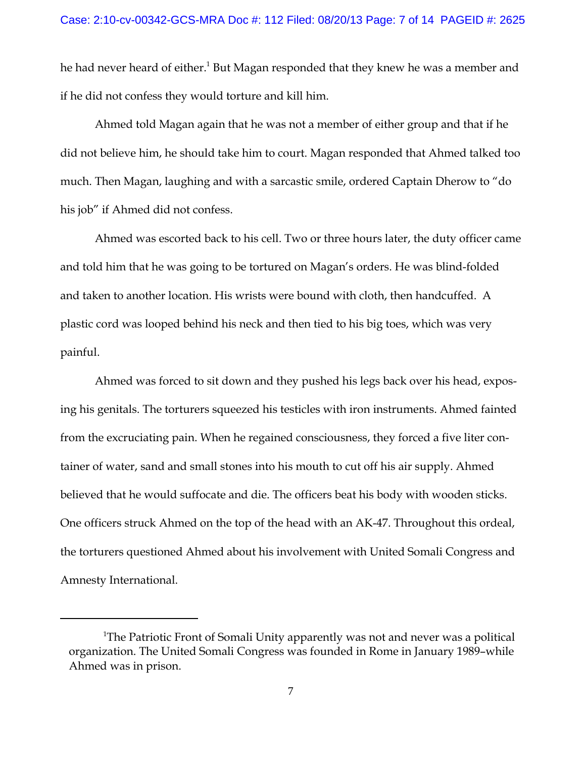he had never heard of either.<sup>1</sup> But Magan responded that they knew he was a member and if he did not confess they would torture and kill him.

Ahmed told Magan again that he was not a member of either group and that if he did not believe him, he should take him to court. Magan responded that Ahmed talked too much. Then Magan, laughing and with a sarcastic smile, ordered Captain Dherow to "do his job" if Ahmed did not confess.

Ahmed was escorted back to his cell. Two or three hours later, the duty officer came and told him that he was going to be tortured on Magan's orders. He was blind-folded and taken to another location. His wrists were bound with cloth, then handcuffed. A plastic cord was looped behind his neck and then tied to his big toes, which was very painful.

Ahmed was forced to sit down and they pushed his legs back over his head, exposing his genitals. The torturers squeezed his testicles with iron instruments. Ahmed fainted from the excruciating pain. When he regained consciousness, they forced a five liter container of water, sand and small stones into his mouth to cut off his air supply. Ahmed believed that he would suffocate and die. The officers beat his body with wooden sticks. One officers struck Ahmed on the top of the head with an AK-47. Throughout this ordeal, the torturers questioned Ahmed about his involvement with United Somali Congress and Amnesty International.

<sup>&</sup>lt;sup>1</sup>The Patriotic Front of Somali Unity apparently was not and never was a political organization. The United Somali Congress was founded in Rome in January 1989–while Ahmed was in prison.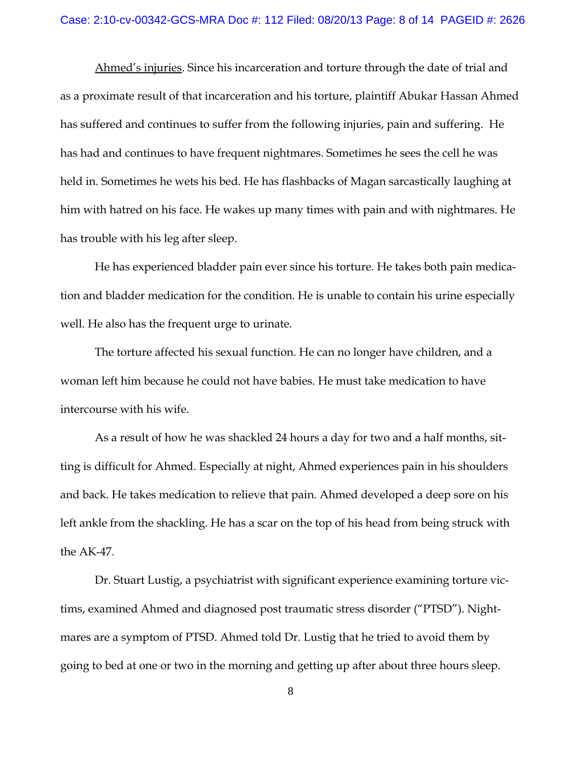Ahmed's injuries. Since his incarceration and torture through the date of trial and as a proximate result of that incarceration and his torture, plaintiff Abukar Hassan Ahmed has suffered and continues to suffer from the following injuries, pain and suffering. He has had and continues to have frequent nightmares. Sometimes he sees the cell he was held in. Sometimes he wets his bed. He has flashbacks of Magan sarcastically laughing at him with hatred on his face. He wakes up many times with pain and with nightmares. He has trouble with his leg after sleep.

He has experienced bladder pain ever since his torture. He takes both pain medication and bladder medication for the condition. He is unable to contain his urine especially well. He also has the frequent urge to urinate.

The torture affected his sexual function. He can no longer have children, and a woman left him because he could not have babies. He must take medication to have intercourse with his wife.

As a result of how he was shackled 24 hours a day for two and a half months, sitting is difficult for Ahmed. Especially at night, Ahmed experiences pain in his shoulders and back. He takes medication to relieve that pain. Ahmed developed a deep sore on his left ankle from the shackling. He has a scar on the top of his head from being struck with the AK-47.

Dr. Stuart Lustig, a psychiatrist with significant experience examining torture victims, examined Ahmed and diagnosed post traumatic stress disorder ("PTSD"). Nightmares are a symptom of PTSD. Ahmed told Dr. Lustig that he tried to avoid them by going to bed at one or two in the morning and getting up after about three hours sleep.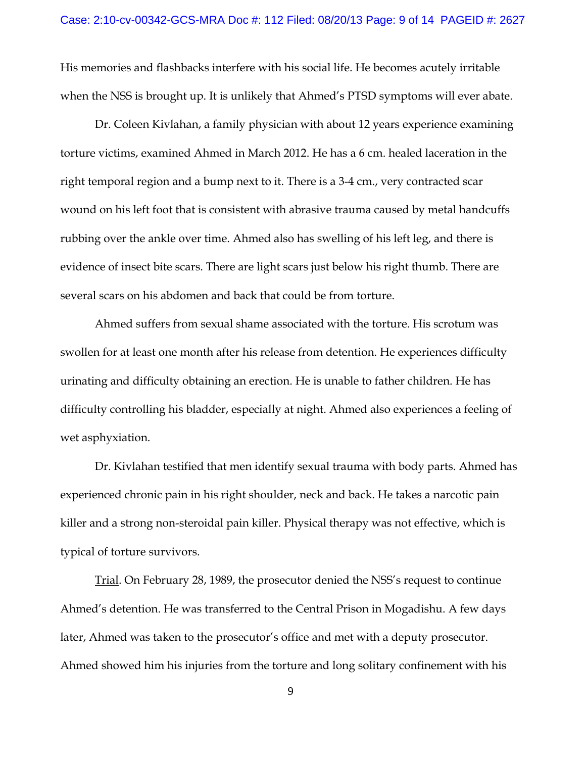His memories and flashbacks interfere with his social life. He becomes acutely irritable when the NSS is brought up. It is unlikely that Ahmed's PTSD symptoms will ever abate.

Dr. Coleen Kivlahan, a family physician with about 12 years experience examining torture victims, examined Ahmed in March 2012. He has a 6 cm. healed laceration in the right temporal region and a bump next to it. There is a 3-4 cm., very contracted scar wound on his left foot that is consistent with abrasive trauma caused by metal handcuffs rubbing over the ankle over time. Ahmed also has swelling of his left leg, and there is evidence of insect bite scars. There are light scars just below his right thumb. There are several scars on his abdomen and back that could be from torture.

Ahmed suffers from sexual shame associated with the torture. His scrotum was swollen for at least one month after his release from detention. He experiences difficulty urinating and difficulty obtaining an erection. He is unable to father children. He has difficulty controlling his bladder, especially at night. Ahmed also experiences a feeling of wet asphyxiation.

Dr. Kivlahan testified that men identify sexual trauma with body parts. Ahmed has experienced chronic pain in his right shoulder, neck and back. He takes a narcotic pain killer and a strong non-steroidal pain killer. Physical therapy was not effective, which is typical of torture survivors.

Trial. On February 28, 1989, the prosecutor denied the NSS's request to continue Ahmed's detention. He was transferred to the Central Prison in Mogadishu. A few days later, Ahmed was taken to the prosecutor's office and met with a deputy prosecutor. Ahmed showed him his injuries from the torture and long solitary confinement with his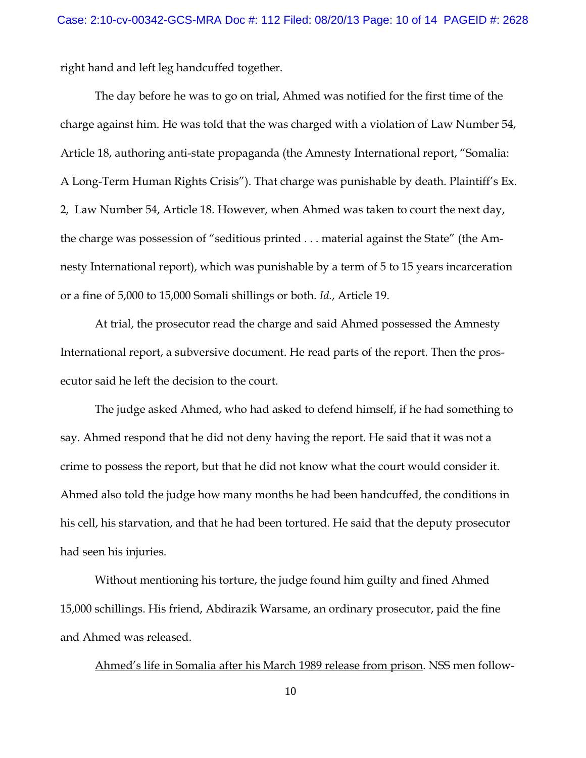right hand and left leg handcuffed together.

The day before he was to go on trial, Ahmed was notified for the first time of the charge against him. He was told that the was charged with a violation of Law Number 54, Article 18, authoring anti-state propaganda (the Amnesty International report, "Somalia: A Long-Term Human Rights Crisis"). That charge was punishable by death. Plaintiff's Ex. 2, Law Number 54, Article 18. However, when Ahmed was taken to court the next day, the charge was possession of "seditious printed . . . material against the State" (the Amnesty International report), which was punishable by a term of 5 to 15 years incarceration or a fine of 5,000 to 15,000 Somali shillings or both. *Id.*, Article 19.

At trial, the prosecutor read the charge and said Ahmed possessed the Amnesty International report, a subversive document. He read parts of the report. Then the prosecutor said he left the decision to the court.

The judge asked Ahmed, who had asked to defend himself, if he had something to say. Ahmed respond that he did not deny having the report. He said that it was not a crime to possess the report, but that he did not know what the court would consider it. Ahmed also told the judge how many months he had been handcuffed, the conditions in his cell, his starvation, and that he had been tortured. He said that the deputy prosecutor had seen his injuries.

Without mentioning his torture, the judge found him guilty and fined Ahmed 15,000 schillings. His friend, Abdirazik Warsame, an ordinary prosecutor, paid the fine and Ahmed was released.

Ahmed's life in Somalia after his March 1989 release from prison. NSS men follow-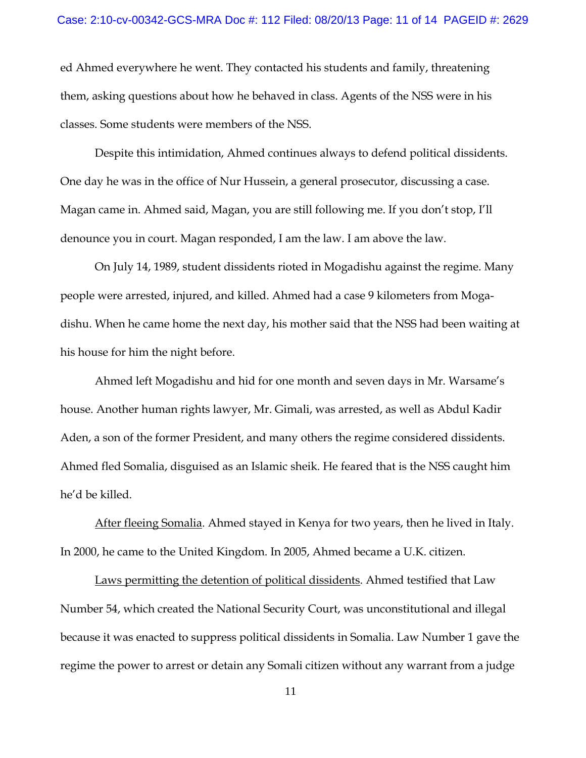ed Ahmed everywhere he went. They contacted his students and family, threatening them, asking questions about how he behaved in class. Agents of the NSS were in his classes. Some students were members of the NSS.

Despite this intimidation, Ahmed continues always to defend political dissidents. One day he was in the office of Nur Hussein, a general prosecutor, discussing a case. Magan came in. Ahmed said, Magan, you are still following me. If you don't stop, I'll denounce you in court. Magan responded, I am the law. I am above the law.

On July 14, 1989, student dissidents rioted in Mogadishu against the regime. Many people were arrested, injured, and killed. Ahmed had a case 9 kilometers from Mogadishu. When he came home the next day, his mother said that the NSS had been waiting at his house for him the night before.

Ahmed left Mogadishu and hid for one month and seven days in Mr. Warsame's house. Another human rights lawyer, Mr. Gimali, was arrested, as well as Abdul Kadir Aden, a son of the former President, and many others the regime considered dissidents. Ahmed fled Somalia, disguised as an Islamic sheik. He feared that is the NSS caught him he'd be killed.

After fleeing Somalia. Ahmed stayed in Kenya for two years, then he lived in Italy. In 2000, he came to the United Kingdom. In 2005, Ahmed became a U.K. citizen.

Laws permitting the detention of political dissidents. Ahmed testified that Law Number 54, which created the National Security Court, was unconstitutional and illegal because it was enacted to suppress political dissidents in Somalia. Law Number 1 gave the regime the power to arrest or detain any Somali citizen without any warrant from a judge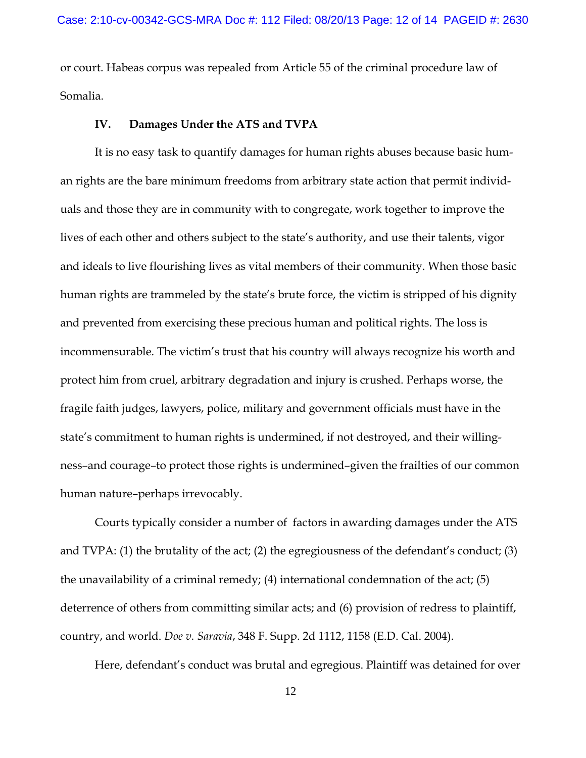or court. Habeas corpus was repealed from Article 55 of the criminal procedure law of Somalia.

### **IV. Damages Under the ATS and TVPA**

It is no easy task to quantify damages for human rights abuses because basic human rights are the bare minimum freedoms from arbitrary state action that permit individuals and those they are in community with to congregate, work together to improve the lives of each other and others subject to the state's authority, and use their talents, vigor and ideals to live flourishing lives as vital members of their community. When those basic human rights are trammeled by the state's brute force, the victim is stripped of his dignity and prevented from exercising these precious human and political rights. The loss is incommensurable. The victim's trust that his country will always recognize his worth and protect him from cruel, arbitrary degradation and injury is crushed. Perhaps worse, the fragile faith judges, lawyers, police, military and government officials must have in the state's commitment to human rights is undermined, if not destroyed, and their willingness–and courage–to protect those rights is undermined–given the frailties of our common human nature–perhaps irrevocably.

Courts typically consider a number of factors in awarding damages under the ATS and TVPA: (1) the brutality of the act; (2) the egregiousness of the defendant's conduct; (3) the unavailability of a criminal remedy; (4) international condemnation of the act; (5) deterrence of others from committing similar acts; and (6) provision of redress to plaintiff, country, and world. *Doe v. Saravia*, 348 F. Supp. 2d 1112, 1158 (E.D. Cal. 2004).

Here, defendant's conduct was brutal and egregious. Plaintiff was detained for over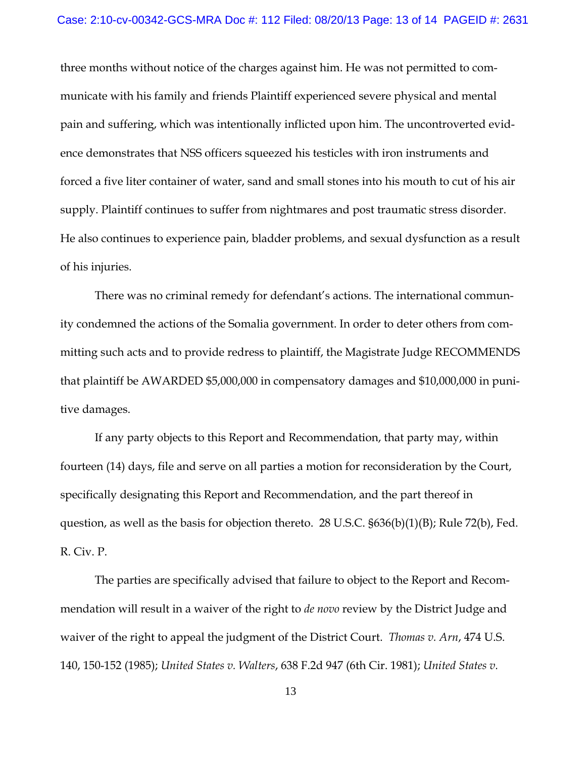three months without notice of the charges against him. He was not permitted to communicate with his family and friends Plaintiff experienced severe physical and mental pain and suffering, which was intentionally inflicted upon him. The uncontroverted evidence demonstrates that NSS officers squeezed his testicles with iron instruments and forced a five liter container of water, sand and small stones into his mouth to cut of his air supply. Plaintiff continues to suffer from nightmares and post traumatic stress disorder. He also continues to experience pain, bladder problems, and sexual dysfunction as a result of his injuries.

There was no criminal remedy for defendant's actions. The international community condemned the actions of the Somalia government. In order to deter others from committing such acts and to provide redress to plaintiff, the Magistrate Judge RECOMMENDS that plaintiff be AWARDED \$5,000,000 in compensatory damages and \$10,000,000 in punitive damages.

If any party objects to this Report and Recommendation, that party may, within fourteen (14) days, file and serve on all parties a motion for reconsideration by the Court, specifically designating this Report and Recommendation, and the part thereof in question, as well as the basis for objection thereto. 28 U.S.C. §636(b)(1)(B); Rule 72(b), Fed. R. Civ. P.

The parties are specifically advised that failure to object to the Report and Recommendation will result in a waiver of the right to *de novo* review by the District Judge and waiver of the right to appeal the judgment of the District Court. *Thomas v. Arn*, 474 U.S. 140, 150-152 (1985); *United States v. Walters*, 638 F.2d 947 (6th Cir. 1981); *United States v.*